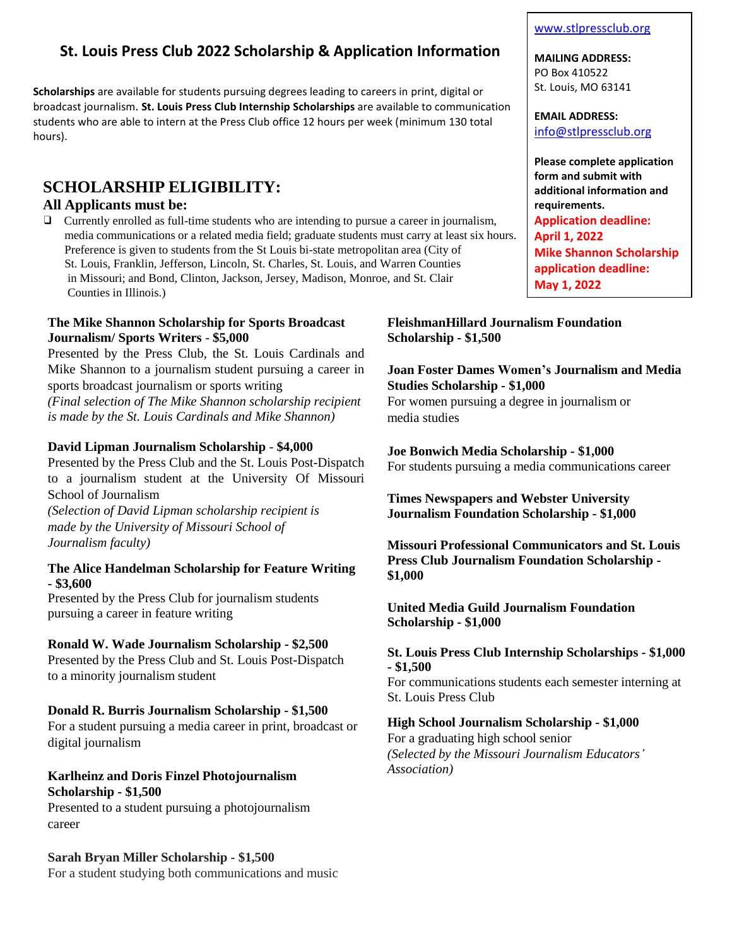## **St. Louis Press Club 2022 Scholarship & Application Information**

**Scholarships** are available for students pursuing degrees leading to careers in print, digital or broadcast journalism. **St. Louis Press Club Internship Scholarships** are available to communication students who are able to intern at the Press Club office 12 hours per week (minimum 130 total hours).

# **SCHOLARSHIP ELIGIBILITY:**

## **All Applicants must be:**

❑ Currently enrolled as full-time students who are intending to pursue a career in journalism, media communications or a related media field; graduate students must carry at least six hours. Preference is given to students from the St Louis bi-state metropolitan area (City of St. Louis, Franklin, Jefferson, Lincoln, St. Charles, St. Louis, and Warren Counties in Missouri; and Bond, Clinton, Jackson, Jersey, Madison, Monroe, and St. Clair Counties in Illinois.)

#### **The Mike Shannon Scholarship for Sports Broadcast Journalism/ Sports Writers** - **\$5,000**

Presented by the Press Club, the St. Louis Cardinals and Mike Shannon to a journalism student pursuing a career in sports broadcast journalism or sports writing *(Final selection of The Mike Shannon scholarship recipient* 

*is made by the St. Louis Cardinals and Mike Shannon)*

### **David Lipman Journalism Scholarship** - **\$4,000**

Presented by the Press Club and the St. Louis Post-Dispatch to a journalism student at the University Of Missouri School of Journalism

*(Selection of David Lipman scholarship recipient is made by the University of Missouri School of Journalism faculty)*

### **The Alice Handelman Scholarship for Feature Writing - \$3,600**

Presented by the Press Club for journalism students pursuing a career in feature writing

## **Ronald W. Wade Journalism Scholarship - \$2,500**

Presented by the Press Club and St. Louis Post-Dispatch to a minority journalism student

## **Donald R. Burris Journalism Scholarship - \$1,500**

For a student pursuing a media career in print, broadcast or digital journalism

## **Karlheinz and Doris Finzel Photojournalism Scholarship - \$1,500**

Presented to a student pursuing a photojournalism career

## **Sarah Bryan Miller Scholarship - \$1,500**

For a student studying both communications and music

#### [www.stlpressclub.org](http://www.stlpressclub.org/)

**MAILING ADDRESS:** PO Box 410522 St. Louis, MO 63141

**EMAIL ADDRESS:** [info@stlpressclub.org](mailto:info@stlpressclub.org)

**Please complete application form and submit with additional information and requirements. Application deadline: April 1, 2022 Mike Shannon Scholarship application deadline: May 1, 2022**

### **FleishmanHillard Journalism Foundation Scholarship - \$1,500**

## **Joan Foster Dames Women's Journalism and Media Studies Scholarship - \$1,000**

For women pursuing a degree in journalism or media studies

**Joe Bonwich Media Scholarship - \$1,000** For students pursuing a media communications career

**Times Newspapers and Webster University Journalism Foundation Scholarship - \$1,000**

**Missouri Professional Communicators and St. Louis Press Club Journalism Foundation Scholarship - \$1,000**

### **United Media Guild Journalism Foundation Scholarship - \$1,000**

#### **St. Louis Press Club Internship Scholarships - \$1,000 - \$1,500**

For communications students each semester interning at St. Louis Press Club

#### **High School Journalism Scholarship - \$1,000**

For a graduating high school senior *(Selected by the Missouri Journalism Educators' Association)*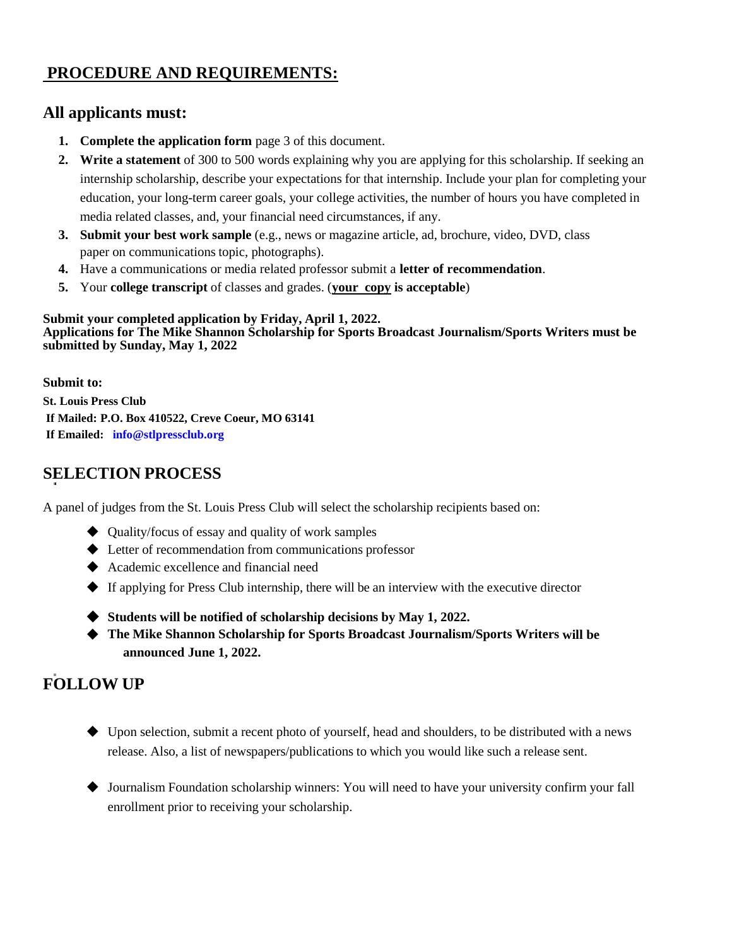# **PROCEDURE AND REQUIREMENTS:**

## **All applicants must:**

- **1. Complete the application form** page 3 of this document.
- **2. Write a statement** of 300 to 500 words explaining why you are applying for this scholarship. If seeking an internship scholarship, describe your expectations for that internship. Include your plan for completing your education, your long-term career goals, your college activities, the number of hours you have completed in media related classes, and, your financial need circumstances, if any.
- **3. Submit your best work sample** (e.g., news or magazine article, ad, brochure, video, DVD, class paper on communications topic, photographs).
- **4.** Have a communications or media related professor submit a **letter of recommendation**.
- **5.** Your **college transcript** of classes and grades. (**your copy is acceptable**)

#### **Submit your completed application by Friday, April 1, 2022. Applications for The Mike Shannon Scholarship for Sports Broadcast Journalism/Sports Writers must be submitted by Sunday, May 1, 2022**

**Submit to: St. Louis Press Club If Mailed: P.O. Box 410522, Creve Coeur, MO 63141 If Emailed: [info@stlpressclub.org](mailto:info@stlpressclub.org)**

## **SELECTION PROCESS**

A panel of judges from the St. Louis Press Club will select the scholarship recipients based on:

- ◆ Quality/focus of essay and quality of work samples
- ◆ Letter of recommendation from communications professor
- ◆ Academic excellence and financial need
- ◆ If applying for Press Club internship, there will be an interview with the executive director
- ◆ **Students will be notified of scholarship decisions by May 1, 2022.**
- ◆ The Mike Shannon Scholarship for Sports Broadcast Journalism/Sports Writers will be **announced June 1, 2022.**

## **FOLLOW UP**

- ◆ Upon selection, submit a recent photo of yourself, head and shoulders, to be distributed with a news release. Also, a list of newspapers/publications to which you would like such a release sent.
- ◆ Journalism Foundation scholarship winners: You will need to have your university confirm your fall enrollment prior to receiving your scholarship.